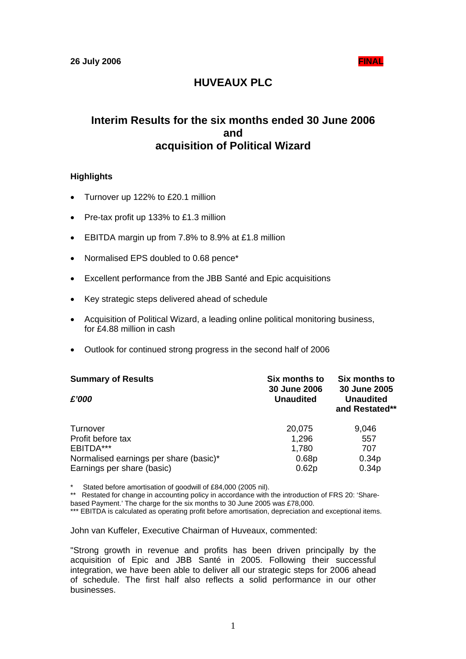# **HUVEAUX PLC**

# **Interim Results for the six months ended 30 June 2006 and acquisition of Political Wizard**

## **Highlights**

- Turnover up 122% to £20.1 million
- Pre-tax profit up 133% to £1.3 million
- EBITDA margin up from 7.8% to 8.9% at £1.8 million
- Normalised EPS doubled to 0.68 pence\*
- Excellent performance from the JBB Santé and Epic acquisitions
- Key strategic steps delivered ahead of schedule
- Acquisition of Political Wizard, a leading online political monitoring business, for £4.88 million in cash
- Outlook for continued strong progress in the second half of 2006

| <b>Summary of Results</b><br>£'000     | Six months to<br><b>30 June 2006</b><br><b>Unaudited</b> | Six months to<br>30 June 2005<br><b>Unaudited</b><br>and Restated** |  |
|----------------------------------------|----------------------------------------------------------|---------------------------------------------------------------------|--|
| Turnover                               | 20,075                                                   | 9,046                                                               |  |
| Profit before tax                      | 1,296                                                    | 557                                                                 |  |
| EBITDA***                              | 1,780                                                    | 707                                                                 |  |
| Normalised earnings per share (basic)* | 0.68p                                                    | 0.34 <sub>p</sub>                                                   |  |
| Earnings per share (basic)             | 0.62p                                                    | 0.34 <sub>p</sub>                                                   |  |

\* Stated before amortisation of goodwill of £84,000 (2005 nil).

\*\* Restated for change in accounting policy in accordance with the introduction of FRS 20: 'Sharebased Payment.' The charge for the six months to 30 June 2005 was £78,000.

\*\*\* EBITDA is calculated as operating profit before amortisation, depreciation and exceptional items.

John van Kuffeler, Executive Chairman of Huveaux, commented:

"Strong growth in revenue and profits has been driven principally by the acquisition of Epic and JBB Santé in 2005. Following their successful integration, we have been able to deliver all our strategic steps for 2006 ahead of schedule. The first half also reflects a solid performance in our other businesses.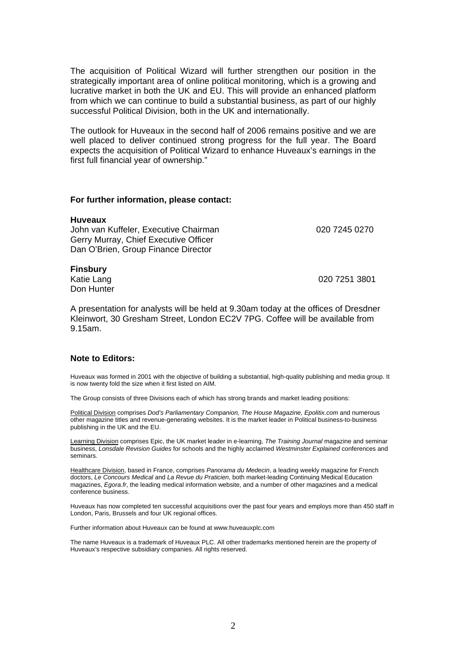The acquisition of Political Wizard will further strengthen our position in the strategically important area of online political monitoring, which is a growing and lucrative market in both the UK and EU. This will provide an enhanced platform from which we can continue to build a substantial business, as part of our highly successful Political Division, both in the UK and internationally.

The outlook for Huveaux in the second half of 2006 remains positive and we are well placed to deliver continued strong progress for the full year. The Board expects the acquisition of Political Wizard to enhance Huveaux's earnings in the first full financial year of ownership."

#### **For further information, please contact:**

| <b>Huveaux</b>                        |               |
|---------------------------------------|---------------|
| John van Kuffeler, Executive Chairman | 020 7245 0270 |
| Gerry Murray, Chief Executive Officer |               |
| Dan O'Brien, Group Finance Director   |               |
|                                       |               |

## **Finsbury**

Don Hunter

Katie Lang 020 7251 3801

A presentation for analysts will be held at 9.30am today at the offices of Dresdner Kleinwort, 30 Gresham Street, London EC2V 7PG. Coffee will be available from 9.15am.

#### **Note to Editors:**

Huveaux was formed in 2001 with the objective of building a substantial, high-quality publishing and media group. It is now twenty fold the size when it first listed on AIM.

The Group consists of three Divisions each of which has strong brands and market leading positions:

Political Division comprises *Dod's Parliamentary Companion, The House Magazine, Epolitix.com* and numerous other magazine titles and revenue-generating websites. It is the market leader in Political business-to-business publishing in the UK and the EU.

Learning Division comprises Epic, the UK market leader in e-learning, *The Training Journal* magazine and seminar business, *Lonsdale Revision Guides* for schools and the highly acclaimed *Westminster Explained* conferences and seminars.

Healthcare Division, based in France, comprises *Panorama du Medecin*, a leading weekly magazine for French doctors, *Le Concours Medical* and *La Revue du Praticien*, both market-leading Continuing Medical Education magazines, *Egora.fr*, the leading medical information website, and a number of other magazines and a medical conference business.

Huveaux has now completed ten successful acquisitions over the past four years and employs more than 450 staff in London, Paris, Brussels and four UK regional offices.

Further information about Huveaux can be found at www.huveauxplc.com

The name Huveaux is a trademark of Huveaux PLC. All other trademarks mentioned herein are the property of Huveaux's respective subsidiary companies. All rights reserved.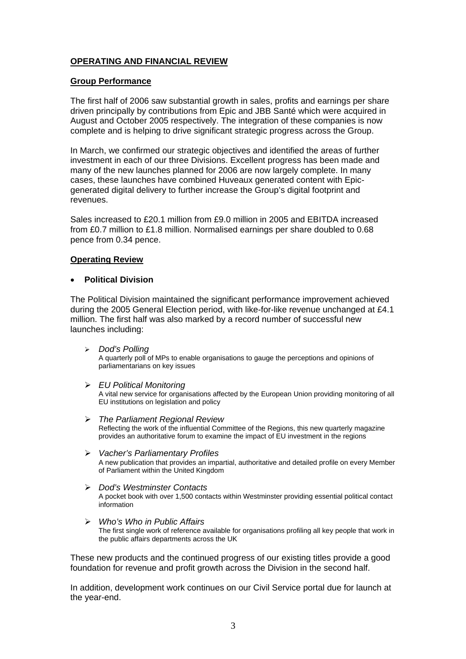## **OPERATING AND FINANCIAL REVIEW**

## **Group Performance**

The first half of 2006 saw substantial growth in sales, profits and earnings per share driven principally by contributions from Epic and JBB Santé which were acquired in August and October 2005 respectively. The integration of these companies is now complete and is helping to drive significant strategic progress across the Group.

In March, we confirmed our strategic objectives and identified the areas of further investment in each of our three Divisions. Excellent progress has been made and many of the new launches planned for 2006 are now largely complete. In many cases, these launches have combined Huveaux generated content with Epicgenerated digital delivery to further increase the Group's digital footprint and revenues.

Sales increased to £20.1 million from £9.0 million in 2005 and EBITDA increased from £0.7 million to £1.8 million. Normalised earnings per share doubled to 0.68 pence from 0.34 pence.

## **Operating Review**

#### • **Political Division**

The Political Division maintained the significant performance improvement achieved during the 2005 General Election period, with like-for-like revenue unchanged at £4.1 million. The first half was also marked by a record number of successful new launches including:

¾ *Dod's Polling* 

A quarterly poll of MPs to enable organisations to gauge the perceptions and opinions of parliamentarians on key issues

¾ *EU Political Monitoring*

A vital new service for organisations affected by the European Union providing monitoring of all EU institutions on legislation and policy

- ¾ *The Parliament Regional Review*  Reflecting the work of the influential Committee of the Regions, this new quarterly magazine provides an authoritative forum to examine the impact of EU investment in the regions
- ¾ *Vacher's Parliamentary Profiles*  A new publication that provides an impartial, authoritative and detailed profile on every Member of Parliament within the United Kingdom
- ¾ *Dod's Westminster Contacts*  A pocket book with over 1,500 contacts within Westminster providing essential political contact information
- ¾ *Who's Who in Public Affairs*  The first single work of reference available for organisations profiling all key people that work in the public affairs departments across the UK

These new products and the continued progress of our existing titles provide a good foundation for revenue and profit growth across the Division in the second half.

In addition, development work continues on our Civil Service portal due for launch at the year-end.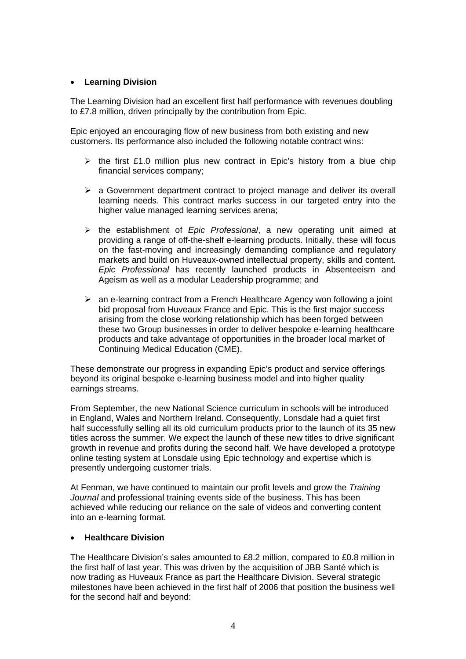## • **Learning Division**

The Learning Division had an excellent first half performance with revenues doubling to £7.8 million, driven principally by the contribution from Epic.

Epic enjoyed an encouraging flow of new business from both existing and new customers. Its performance also included the following notable contract wins:

- $\triangleright$  the first £1.0 million plus new contract in Epic's history from a blue chip financial services company;
- $\triangleright$  a Government department contract to project manage and deliver its overall learning needs. This contract marks success in our targeted entry into the higher value managed learning services arena;
- ¾ the establishment of *Epic Professional*, a new operating unit aimed at providing a range of off-the-shelf e-learning products. Initially, these will focus on the fast-moving and increasingly demanding compliance and regulatory markets and build on Huveaux-owned intellectual property, skills and content. *Epic Professional* has recently launched products in Absenteeism and Ageism as well as a modular Leadership programme; and
- $\geq$  an e-learning contract from a French Healthcare Agency won following a joint bid proposal from Huveaux France and Epic. This is the first major success arising from the close working relationship which has been forged between these two Group businesses in order to deliver bespoke e-learning healthcare products and take advantage of opportunities in the broader local market of Continuing Medical Education (CME).

These demonstrate our progress in expanding Epic's product and service offerings beyond its original bespoke e-learning business model and into higher quality earnings streams.

From September, the new National Science curriculum in schools will be introduced in England, Wales and Northern Ireland. Consequently, Lonsdale had a quiet first half successfully selling all its old curriculum products prior to the launch of its 35 new titles across the summer. We expect the launch of these new titles to drive significant growth in revenue and profits during the second half. We have developed a prototype online testing system at Lonsdale using Epic technology and expertise which is presently undergoing customer trials.

At Fenman, we have continued to maintain our profit levels and grow the *Training Journal* and professional training events side of the business. This has been achieved while reducing our reliance on the sale of videos and converting content into an e-learning format.

## • **Healthcare Division**

The Healthcare Division's sales amounted to £8.2 million, compared to £0.8 million in the first half of last year. This was driven by the acquisition of JBB Santé which is now trading as Huveaux France as part the Healthcare Division. Several strategic milestones have been achieved in the first half of 2006 that position the business well for the second half and beyond: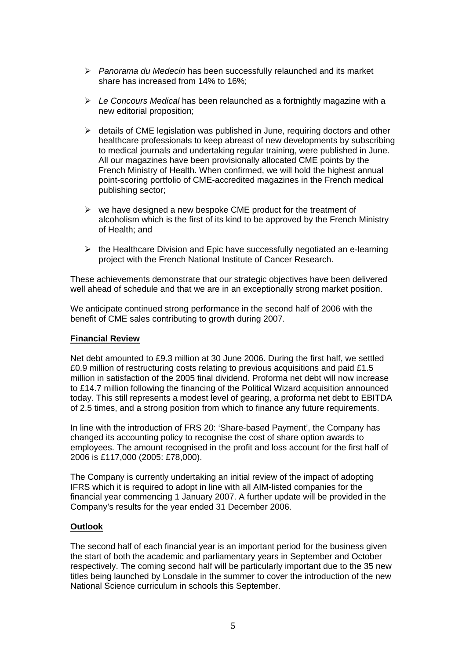- ¾ *Panorama du Medecin* has been successfully relaunched and its market share has increased from 14% to 16%;
- ¾ *Le Concours Medical* has been relaunched as a fortnightly magazine with a new editorial proposition;
- $\triangleright$  details of CME legislation was published in June, requiring doctors and other healthcare professionals to keep abreast of new developments by subscribing to medical journals and undertaking regular training, were published in June. All our magazines have been provisionally allocated CME points by the French Ministry of Health. When confirmed, we will hold the highest annual point-scoring portfolio of CME-accredited magazines in the French medical publishing sector;
- $\triangleright$  we have designed a new bespoke CME product for the treatment of alcoholism which is the first of its kind to be approved by the French Ministry of Health; and
- $\triangleright$  the Healthcare Division and Epic have successfully negotiated an e-learning project with the French National Institute of Cancer Research.

These achievements demonstrate that our strategic objectives have been delivered well ahead of schedule and that we are in an exceptionally strong market position.

We anticipate continued strong performance in the second half of 2006 with the benefit of CME sales contributing to growth during 2007.

## **Financial Review**

Net debt amounted to £9.3 million at 30 June 2006. During the first half, we settled £0.9 million of restructuring costs relating to previous acquisitions and paid £1.5 million in satisfaction of the 2005 final dividend. Proforma net debt will now increase to £14.7 million following the financing of the Political Wizard acquisition announced today. This still represents a modest level of gearing, a proforma net debt to EBITDA of 2.5 times, and a strong position from which to finance any future requirements.

In line with the introduction of FRS 20: 'Share-based Payment', the Company has changed its accounting policy to recognise the cost of share option awards to employees. The amount recognised in the profit and loss account for the first half of 2006 is £117,000 (2005: £78,000).

The Company is currently undertaking an initial review of the impact of adopting IFRS which it is required to adopt in line with all AIM-listed companies for the financial year commencing 1 January 2007. A further update will be provided in the Company's results for the year ended 31 December 2006.

## **Outlook**

The second half of each financial year is an important period for the business given the start of both the academic and parliamentary years in September and October respectively. The coming second half will be particularly important due to the 35 new titles being launched by Lonsdale in the summer to cover the introduction of the new National Science curriculum in schools this September.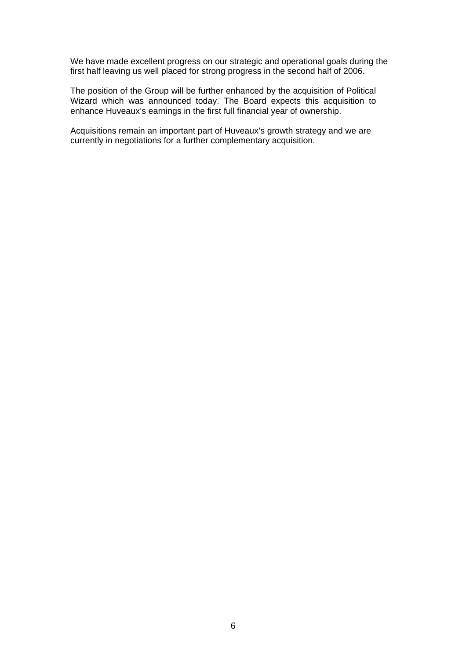We have made excellent progress on our strategic and operational goals during the first half leaving us well placed for strong progress in the second half of 2006.

The position of the Group will be further enhanced by the acquisition of Political Wizard which was announced today. The Board expects this acquisition to enhance Huveaux's earnings in the first full financial year of ownership.

Acquisitions remain an important part of Huveaux's growth strategy and we are currently in negotiations for a further complementary acquisition.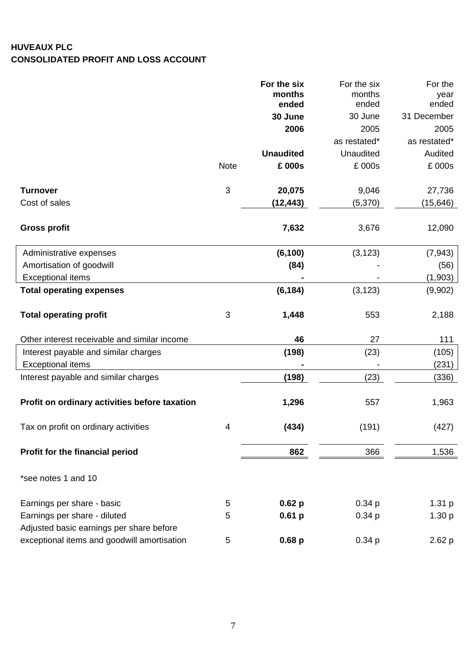## **HUVEAUX PLC CONSOLIDATED PROFIT AND LOSS ACCOUNT**

|                                                                                         |             | For the six       | For the six<br>months | For the       |
|-----------------------------------------------------------------------------------------|-------------|-------------------|-----------------------|---------------|
|                                                                                         |             | months<br>ended   | ended                 | year<br>ended |
|                                                                                         |             | 30 June           | 30 June               | 31 December   |
|                                                                                         |             | 2006              | 2005                  | 2005          |
|                                                                                         |             |                   | as restated*          | as restated*  |
|                                                                                         |             | <b>Unaudited</b>  | Unaudited             | Audited       |
|                                                                                         | <b>Note</b> | £ 000s            | £ 000s                | £ 000s        |
| <b>Turnover</b>                                                                         | 3           | 20,075            | 9,046                 | 27,736        |
| Cost of sales                                                                           |             | (12, 443)         | (5,370)               | (15,646)      |
| <b>Gross profit</b>                                                                     |             | 7,632             | 3,676                 | 12,090        |
| Administrative expenses                                                                 |             | (6, 100)          | (3, 123)              | (7, 943)      |
| Amortisation of goodwill                                                                |             | (84)              |                       | (56)          |
| <b>Exceptional items</b>                                                                |             |                   |                       | (1,903)       |
| <b>Total operating expenses</b>                                                         |             | (6, 184)          | (3, 123)              | (9,902)       |
| <b>Total operating profit</b>                                                           | $\sqrt{3}$  | 1,448             | 553                   | 2,188         |
| Other interest receivable and similar income                                            |             | 46                | 27                    | 111           |
| Interest payable and similar charges                                                    |             | (198)             | (23)                  | (105)         |
| <b>Exceptional items</b>                                                                |             |                   |                       | (231)         |
| Interest payable and similar charges                                                    |             | (198)             | (23)                  | (336)         |
| Profit on ordinary activities before taxation                                           |             | 1,296             | 557                   | 1,963         |
| Tax on profit on ordinary activities                                                    | 4           | (434)             | (191)                 | (427)         |
| Profit for the financial period                                                         |             | 862               | 366                   | 1,536         |
| *see notes 1 and 10                                                                     |             |                   |                       |               |
| Earnings per share - basic                                                              | 5           | 0.62 <sub>p</sub> | 0.34 <sub>p</sub>     | 1.31 p        |
| Earnings per share - diluted                                                            | 5           | 0.61 <sub>p</sub> | 0.34 <sub>p</sub>     | 1.30 p        |
| Adjusted basic earnings per share before<br>exceptional items and goodwill amortisation | 5           | 0.68 <sub>p</sub> | 0.34 <sub>p</sub>     | 2.62 p        |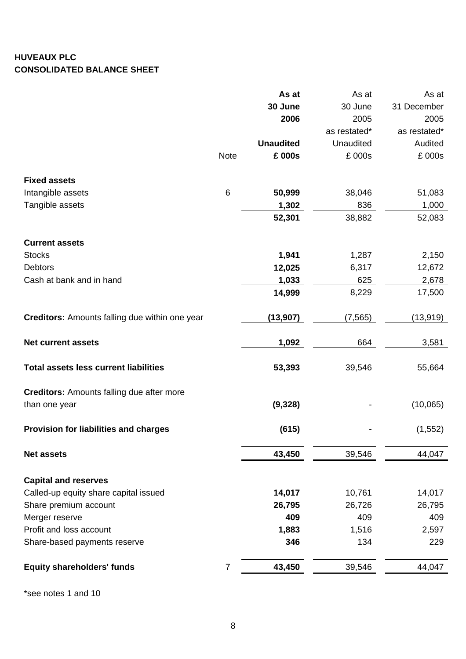# **HUVEAUX PLC CONSOLIDATED BALANCE SHEET**

|                                                       |                | As at            | As at            | As at        |
|-------------------------------------------------------|----------------|------------------|------------------|--------------|
|                                                       |                | 30 June          | 30 June          | 31 December  |
|                                                       |                | 2006             | 2005             | 2005         |
|                                                       |                |                  | as restated*     | as restated* |
|                                                       |                | <b>Unaudited</b> | <b>Unaudited</b> | Audited      |
|                                                       | <b>Note</b>    | £ 000s           | £ 000s           | £ 000s       |
| <b>Fixed assets</b>                                   |                |                  |                  |              |
| Intangible assets                                     | $6\,$          | 50,999           | 38,046           | 51,083       |
| Tangible assets                                       |                | 1,302            | 836              | 1,000        |
|                                                       |                | 52,301           | 38,882           | 52,083       |
| <b>Current assets</b>                                 |                |                  |                  |              |
| <b>Stocks</b>                                         |                | 1,941            | 1,287            | 2,150        |
| <b>Debtors</b>                                        |                | 12,025           | 6,317            | 12,672       |
| Cash at bank and in hand                              |                | 1,033            | 625              | 2,678        |
|                                                       |                | 14,999           | 8,229            | 17,500       |
| <b>Creditors:</b> Amounts falling due within one year |                | (13, 907)        | (7, 565)         | (13, 919)    |
| <b>Net current assets</b>                             |                | 1,092            | 664              | 3,581        |
| <b>Total assets less current liabilities</b>          |                | 53,393           | 39,546           | 55,664       |
| <b>Creditors: Amounts falling due after more</b>      |                |                  |                  |              |
| than one year                                         |                | (9, 328)         |                  | (10,065)     |
| <b>Provision for liabilities and charges</b>          |                | (615)            |                  | (1, 552)     |
| <b>Net assets</b>                                     |                | 43,450           | 39,546           | 44,047       |
| <b>Capital and reserves</b>                           |                |                  |                  |              |
| Called-up equity share capital issued                 |                | 14,017           | 10,761           | 14,017       |
| Share premium account                                 |                | 26,795           | 26,726           | 26,795       |
| Merger reserve                                        |                | 409              | 409              | 409          |
| Profit and loss account                               |                | 1,883            | 1,516            | 2,597        |
| Share-based payments reserve                          |                | 346              | 134              | 229          |
| <b>Equity shareholders' funds</b>                     | $\overline{7}$ | 43,450           | 39,546           | 44,047       |
|                                                       |                |                  |                  |              |

\*see notes 1 and 10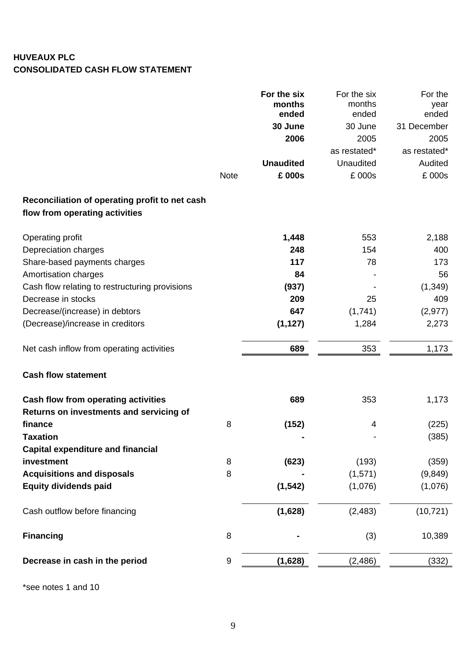# **HUVEAUX PLC CONSOLIDATED CASH FLOW STATEMENT**

| ended<br>ended<br>ended<br>30 June<br>31 December<br>30 June<br>2006<br>2005<br>2005<br>as restated*<br>as restated*<br><b>Unaudited</b><br>Unaudited<br>Audited<br>£ 000s<br>£ 000s<br>£ 000s<br><b>Note</b><br>Reconciliation of operating profit to net cash<br>flow from operating activities<br>1,448<br>553<br>2,188<br>Operating profit<br>Depreciation charges<br>248<br>154<br>400<br>117<br>Share-based payments charges<br>78<br>173<br>Amortisation charges<br>84<br>56<br>Cash flow relating to restructuring provisions<br>(1, 349)<br>(937)<br>Decrease in stocks<br>209<br>25<br>409<br>Decrease/(increase) in debtors<br>647<br>(1,741)<br>(2, 977)<br>(1, 127)<br>2,273<br>(Decrease)/increase in creditors<br>1,284<br>353<br>1,173<br>Net cash inflow from operating activities<br>689<br><b>Cash flow statement</b><br><b>Cash flow from operating activities</b><br>689<br>353<br>1,173<br>Returns on investments and servicing of<br>8<br>(152)<br>(225)<br>finance<br>4<br>(385)<br>Taxation<br><b>Capital expenditure and financial</b><br>investment<br>(623)<br>8<br>(193)<br>(359)<br>8<br>(9, 849)<br><b>Acquisitions and disposals</b><br>(1,571)<br><b>Equity dividends paid</b><br>(1, 542)<br>(1,076)<br>(1,076)<br>(1,628)<br>(2, 483)<br>(10, 721)<br>Cash outflow before financing<br>8<br><b>Financing</b><br>(3)<br>10,389<br>9<br>(1,628)<br>(2, 486)<br>(332)<br>Decrease in cash in the period |  | For the six | For the six | For the |
|-----------------------------------------------------------------------------------------------------------------------------------------------------------------------------------------------------------------------------------------------------------------------------------------------------------------------------------------------------------------------------------------------------------------------------------------------------------------------------------------------------------------------------------------------------------------------------------------------------------------------------------------------------------------------------------------------------------------------------------------------------------------------------------------------------------------------------------------------------------------------------------------------------------------------------------------------------------------------------------------------------------------------------------------------------------------------------------------------------------------------------------------------------------------------------------------------------------------------------------------------------------------------------------------------------------------------------------------------------------------------------------------------------------------------------------------|--|-------------|-------------|---------|
|                                                                                                                                                                                                                                                                                                                                                                                                                                                                                                                                                                                                                                                                                                                                                                                                                                                                                                                                                                                                                                                                                                                                                                                                                                                                                                                                                                                                                                         |  | months      | months      | year    |
|                                                                                                                                                                                                                                                                                                                                                                                                                                                                                                                                                                                                                                                                                                                                                                                                                                                                                                                                                                                                                                                                                                                                                                                                                                                                                                                                                                                                                                         |  |             |             |         |
|                                                                                                                                                                                                                                                                                                                                                                                                                                                                                                                                                                                                                                                                                                                                                                                                                                                                                                                                                                                                                                                                                                                                                                                                                                                                                                                                                                                                                                         |  |             |             |         |
|                                                                                                                                                                                                                                                                                                                                                                                                                                                                                                                                                                                                                                                                                                                                                                                                                                                                                                                                                                                                                                                                                                                                                                                                                                                                                                                                                                                                                                         |  |             |             |         |
|                                                                                                                                                                                                                                                                                                                                                                                                                                                                                                                                                                                                                                                                                                                                                                                                                                                                                                                                                                                                                                                                                                                                                                                                                                                                                                                                                                                                                                         |  |             |             |         |
|                                                                                                                                                                                                                                                                                                                                                                                                                                                                                                                                                                                                                                                                                                                                                                                                                                                                                                                                                                                                                                                                                                                                                                                                                                                                                                                                                                                                                                         |  |             |             |         |
|                                                                                                                                                                                                                                                                                                                                                                                                                                                                                                                                                                                                                                                                                                                                                                                                                                                                                                                                                                                                                                                                                                                                                                                                                                                                                                                                                                                                                                         |  |             |             |         |
|                                                                                                                                                                                                                                                                                                                                                                                                                                                                                                                                                                                                                                                                                                                                                                                                                                                                                                                                                                                                                                                                                                                                                                                                                                                                                                                                                                                                                                         |  |             |             |         |
|                                                                                                                                                                                                                                                                                                                                                                                                                                                                                                                                                                                                                                                                                                                                                                                                                                                                                                                                                                                                                                                                                                                                                                                                                                                                                                                                                                                                                                         |  |             |             |         |
|                                                                                                                                                                                                                                                                                                                                                                                                                                                                                                                                                                                                                                                                                                                                                                                                                                                                                                                                                                                                                                                                                                                                                                                                                                                                                                                                                                                                                                         |  |             |             |         |
|                                                                                                                                                                                                                                                                                                                                                                                                                                                                                                                                                                                                                                                                                                                                                                                                                                                                                                                                                                                                                                                                                                                                                                                                                                                                                                                                                                                                                                         |  |             |             |         |
|                                                                                                                                                                                                                                                                                                                                                                                                                                                                                                                                                                                                                                                                                                                                                                                                                                                                                                                                                                                                                                                                                                                                                                                                                                                                                                                                                                                                                                         |  |             |             |         |
|                                                                                                                                                                                                                                                                                                                                                                                                                                                                                                                                                                                                                                                                                                                                                                                                                                                                                                                                                                                                                                                                                                                                                                                                                                                                                                                                                                                                                                         |  |             |             |         |
|                                                                                                                                                                                                                                                                                                                                                                                                                                                                                                                                                                                                                                                                                                                                                                                                                                                                                                                                                                                                                                                                                                                                                                                                                                                                                                                                                                                                                                         |  |             |             |         |
|                                                                                                                                                                                                                                                                                                                                                                                                                                                                                                                                                                                                                                                                                                                                                                                                                                                                                                                                                                                                                                                                                                                                                                                                                                                                                                                                                                                                                                         |  |             |             |         |
|                                                                                                                                                                                                                                                                                                                                                                                                                                                                                                                                                                                                                                                                                                                                                                                                                                                                                                                                                                                                                                                                                                                                                                                                                                                                                                                                                                                                                                         |  |             |             |         |
|                                                                                                                                                                                                                                                                                                                                                                                                                                                                                                                                                                                                                                                                                                                                                                                                                                                                                                                                                                                                                                                                                                                                                                                                                                                                                                                                                                                                                                         |  |             |             |         |
|                                                                                                                                                                                                                                                                                                                                                                                                                                                                                                                                                                                                                                                                                                                                                                                                                                                                                                                                                                                                                                                                                                                                                                                                                                                                                                                                                                                                                                         |  |             |             |         |
|                                                                                                                                                                                                                                                                                                                                                                                                                                                                                                                                                                                                                                                                                                                                                                                                                                                                                                                                                                                                                                                                                                                                                                                                                                                                                                                                                                                                                                         |  |             |             |         |
|                                                                                                                                                                                                                                                                                                                                                                                                                                                                                                                                                                                                                                                                                                                                                                                                                                                                                                                                                                                                                                                                                                                                                                                                                                                                                                                                                                                                                                         |  |             |             |         |
|                                                                                                                                                                                                                                                                                                                                                                                                                                                                                                                                                                                                                                                                                                                                                                                                                                                                                                                                                                                                                                                                                                                                                                                                                                                                                                                                                                                                                                         |  |             |             |         |
|                                                                                                                                                                                                                                                                                                                                                                                                                                                                                                                                                                                                                                                                                                                                                                                                                                                                                                                                                                                                                                                                                                                                                                                                                                                                                                                                                                                                                                         |  |             |             |         |
|                                                                                                                                                                                                                                                                                                                                                                                                                                                                                                                                                                                                                                                                                                                                                                                                                                                                                                                                                                                                                                                                                                                                                                                                                                                                                                                                                                                                                                         |  |             |             |         |
|                                                                                                                                                                                                                                                                                                                                                                                                                                                                                                                                                                                                                                                                                                                                                                                                                                                                                                                                                                                                                                                                                                                                                                                                                                                                                                                                                                                                                                         |  |             |             |         |
|                                                                                                                                                                                                                                                                                                                                                                                                                                                                                                                                                                                                                                                                                                                                                                                                                                                                                                                                                                                                                                                                                                                                                                                                                                                                                                                                                                                                                                         |  |             |             |         |
|                                                                                                                                                                                                                                                                                                                                                                                                                                                                                                                                                                                                                                                                                                                                                                                                                                                                                                                                                                                                                                                                                                                                                                                                                                                                                                                                                                                                                                         |  |             |             |         |
|                                                                                                                                                                                                                                                                                                                                                                                                                                                                                                                                                                                                                                                                                                                                                                                                                                                                                                                                                                                                                                                                                                                                                                                                                                                                                                                                                                                                                                         |  |             |             |         |
|                                                                                                                                                                                                                                                                                                                                                                                                                                                                                                                                                                                                                                                                                                                                                                                                                                                                                                                                                                                                                                                                                                                                                                                                                                                                                                                                                                                                                                         |  |             |             |         |
|                                                                                                                                                                                                                                                                                                                                                                                                                                                                                                                                                                                                                                                                                                                                                                                                                                                                                                                                                                                                                                                                                                                                                                                                                                                                                                                                                                                                                                         |  |             |             |         |

\*see notes 1 and 10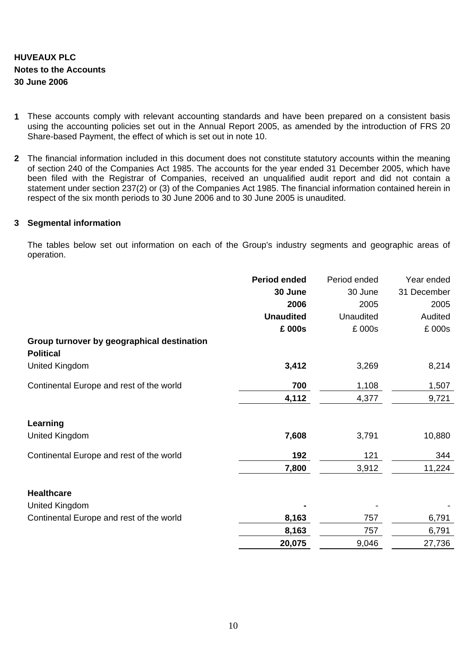# **HUVEAUX PLC Notes to the Accounts 30 June 2006**

- **1** These accounts comply with relevant accounting standards and have been prepared on a consistent basis using the accounting policies set out in the Annual Report 2005, as amended by the introduction of FRS 20 Share-based Payment, the effect of which is set out in note 10.
- **2** The financial information included in this document does not constitute statutory accounts within the meaning of section 240 of the Companies Act 1985. The accounts for the year ended 31 December 2005, which have been filed with the Registrar of Companies, received an unqualified audit report and did not contain a statement under section 237(2) or (3) of the Companies Act 1985. The financial information contained herein in respect of the six month periods to 30 June 2006 and to 30 June 2005 is unaudited.

## **3 Segmental information**

The tables below set out information on each of the Group's industry segments and geographic areas of operation.

|                                            | <b>Period ended</b> | Period ended | Year ended  |
|--------------------------------------------|---------------------|--------------|-------------|
|                                            | 30 June             | 30 June      | 31 December |
|                                            | 2006                | 2005         | 2005        |
|                                            | <b>Unaudited</b>    | Unaudited    | Audited     |
|                                            | £ 000s              | £ 000s       | £ 000s      |
| Group turnover by geographical destination |                     |              |             |
| <b>Political</b>                           |                     |              |             |
| <b>United Kingdom</b>                      | 3,412               | 3,269        | 8,214       |
| Continental Europe and rest of the world   | 700                 | 1,108        | 1,507       |
|                                            | 4,112               | 4,377        | 9,721       |
| Learning                                   |                     |              |             |
| United Kingdom                             | 7,608               | 3,791        | 10,880      |
| Continental Europe and rest of the world   | 192                 | 121          | 344         |
|                                            | 7,800               | 3,912        | 11,224      |
| <b>Healthcare</b>                          |                     |              |             |
| <b>United Kingdom</b>                      |                     |              |             |
| Continental Europe and rest of the world   | 8,163               | 757          | 6,791       |
|                                            | 8,163               | 757          | 6,791       |
|                                            | 20,075              | 9,046        | 27,736      |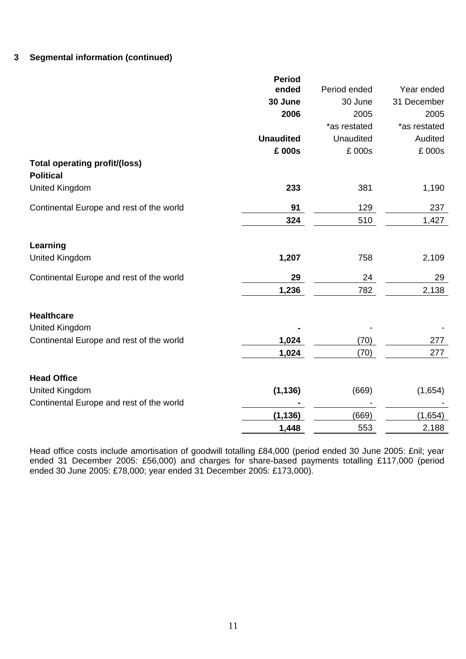## **3 Segmental information (continued)**

|                                                          | <b>Period</b>    |              |              |
|----------------------------------------------------------|------------------|--------------|--------------|
|                                                          | ended            | Period ended | Year ended   |
|                                                          | 30 June          | 30 June      | 31 December  |
|                                                          | 2006             | 2005         | 2005         |
|                                                          |                  | *as restated | *as restated |
|                                                          | <b>Unaudited</b> | Unaudited    | Audited      |
|                                                          | £ 000s           | £ 000s       | £ 000s       |
| <b>Total operating profit/(loss)</b><br><b>Political</b> |                  |              |              |
| <b>United Kingdom</b>                                    | 233              | 381          | 1,190        |
| Continental Europe and rest of the world                 | 91               | 129          | 237          |
|                                                          | 324              | 510          | 1,427        |
| Learning                                                 |                  |              |              |
| <b>United Kingdom</b>                                    | 1,207            | 758          | 2,109        |
| Continental Europe and rest of the world                 | 29               | 24           | 29           |
|                                                          | 1,236            | 782          | 2,138        |
| <b>Healthcare</b>                                        |                  |              |              |
| <b>United Kingdom</b>                                    |                  |              |              |
| Continental Europe and rest of the world                 | 1,024            | (70)         | 277          |
|                                                          | 1,024            | (70)         | 277          |
| <b>Head Office</b>                                       |                  |              |              |
| <b>United Kingdom</b>                                    | (1, 136)         | (669)        | (1,654)      |
| Continental Europe and rest of the world                 |                  |              |              |
|                                                          | (1, 136)         | (669)        | (1,654)      |
|                                                          | 1,448            | 553          | 2,188        |
|                                                          |                  |              |              |

Head office costs include amortisation of goodwill totalling £84,000 (period ended 30 June 2005: £nil; year ended 31 December 2005: £56,000) and charges for share-based payments totalling £117,000 (period ended 30 June 2005: £78,000; year ended 31 December 2005: £173,000).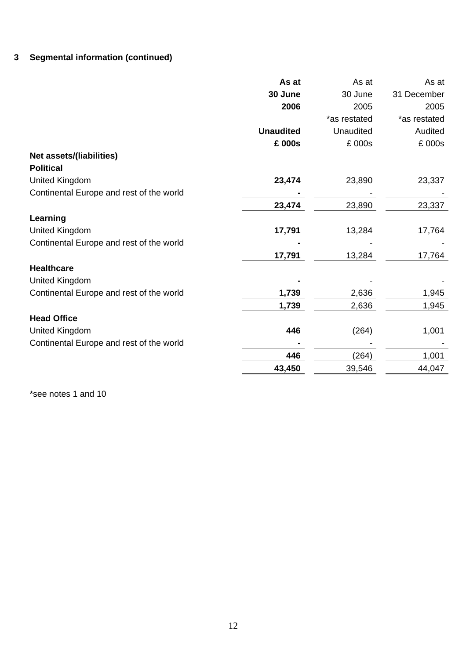# **3 Segmental information (continued)**

|                                          | As at            | As at        | As at        |
|------------------------------------------|------------------|--------------|--------------|
|                                          | 30 June          | 30 June      | 31 December  |
|                                          | 2006             | 2005         | 2005         |
|                                          |                  | *as restated | *as restated |
|                                          | <b>Unaudited</b> | Unaudited    | Audited      |
|                                          | £ 000s           | £ 000s       | £ 000s       |
| Net assets/(liabilities)                 |                  |              |              |
| <b>Political</b>                         |                  |              |              |
| <b>United Kingdom</b>                    | 23,474           | 23,890       | 23,337       |
| Continental Europe and rest of the world |                  |              |              |
|                                          | 23,474           | 23,890       | 23,337       |
| Learning                                 |                  |              |              |
| <b>United Kingdom</b>                    | 17,791           | 13,284       | 17,764       |
| Continental Europe and rest of the world |                  |              |              |
|                                          | 17,791           | 13,284       | 17,764       |
| <b>Healthcare</b>                        |                  |              |              |
| <b>United Kingdom</b>                    |                  |              |              |
| Continental Europe and rest of the world | 1,739            | 2,636        | 1,945        |
|                                          | 1,739            | 2,636        | 1,945        |
| <b>Head Office</b>                       |                  |              |              |
| <b>United Kingdom</b>                    | 446              | (264)        | 1,001        |
| Continental Europe and rest of the world |                  |              |              |
|                                          | 446              | (264)        | 1,001        |
|                                          | 43,450           | 39,546       | 44,047       |
|                                          |                  |              |              |

\*see notes 1 and 10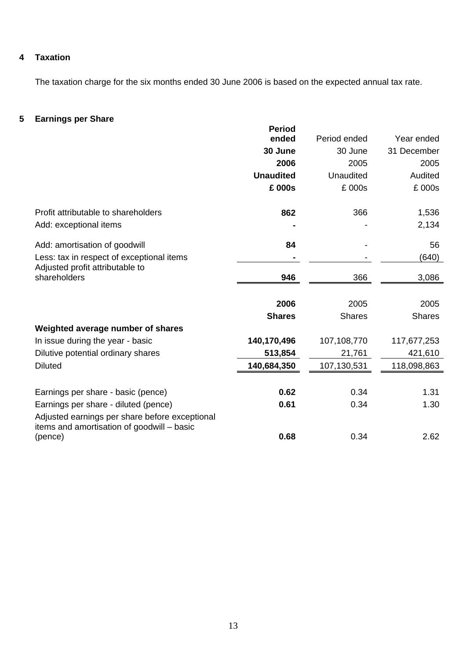## **4 Taxation**

The taxation charge for the six months ended 30 June 2006 is based on the expected annual tax rate.

# **5 Earnings per Share**

| Lammyə per onare                                                                             | <b>Period</b>    |               |               |
|----------------------------------------------------------------------------------------------|------------------|---------------|---------------|
|                                                                                              | ended            | Period ended  | Year ended    |
|                                                                                              | 30 June          | 30 June       | 31 December   |
|                                                                                              | 2006             | 2005          | 2005          |
|                                                                                              | <b>Unaudited</b> | Unaudited     | Audited       |
|                                                                                              | £ 000s           | £ 000s        | £ 000s        |
| Profit attributable to shareholders                                                          | 862              | 366           | 1,536         |
| Add: exceptional items                                                                       |                  |               | 2,134         |
| Add: amortisation of goodwill                                                                | 84               |               | 56            |
| Less: tax in respect of exceptional items                                                    |                  |               | (640)         |
| Adjusted profit attributable to<br>shareholders                                              | 946              | 366           | 3,086         |
|                                                                                              | 2006             | 2005          | 2005          |
|                                                                                              | <b>Shares</b>    | <b>Shares</b> | <b>Shares</b> |
| Weighted average number of shares                                                            |                  |               |               |
| In issue during the year - basic                                                             | 140,170,496      | 107,108,770   | 117,677,253   |
| Dilutive potential ordinary shares                                                           | 513,854          | 21,761        | 421,610       |
| <b>Diluted</b>                                                                               | 140,684,350      | 107,130,531   | 118,098,863   |
| Earnings per share - basic (pence)                                                           | 0.62             | 0.34          | 1.31          |
| Earnings per share - diluted (pence)                                                         | 0.61             | 0.34          | 1.30          |
| Adjusted earnings per share before exceptional<br>items and amortisation of goodwill - basic |                  |               |               |
| (pence)                                                                                      | 0.68             | 0.34          | 2.62          |
|                                                                                              |                  |               |               |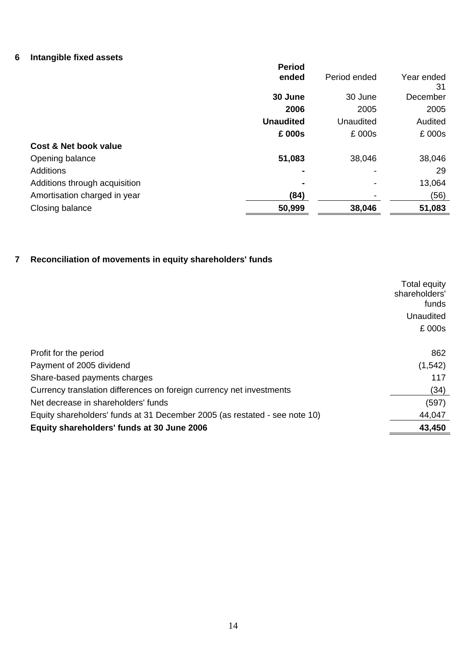# **6 Intangible fixed assets**

|                               | <b>Period</b>    |              |                  |
|-------------------------------|------------------|--------------|------------------|
|                               | ended            | Period ended | Year ended<br>31 |
|                               | 30 June          | 30 June      | December         |
|                               | 2006             | 2005         | 2005             |
|                               | <b>Unaudited</b> | Unaudited    | Audited          |
|                               | £ 000s           | £ 000s       | £ 000s           |
| Cost & Net book value         |                  |              |                  |
| Opening balance               | 51,083           | 38,046       | 38,046           |
| <b>Additions</b>              | ۰                |              | 29               |
| Additions through acquisition | $\blacksquare$   |              | 13,064           |
| Amortisation charged in year  | (84)             |              | (56)             |
| Closing balance               | 50,999           | 38,046       | 51,083           |

# **7 Reconciliation of movements in equity shareholders' funds**

|                                                                            | <b>Total equity</b> |
|----------------------------------------------------------------------------|---------------------|
|                                                                            | shareholders'       |
|                                                                            | funds               |
|                                                                            | Unaudited           |
|                                                                            | £ 000s              |
|                                                                            |                     |
| Profit for the period                                                      | 862                 |
| Payment of 2005 dividend                                                   | (1, 542)            |
| Share-based payments charges                                               | 117                 |
| Currency translation differences on foreign currency net investments       | (34)                |
| Net decrease in shareholders' funds                                        | (597)               |
| Equity shareholders' funds at 31 December 2005 (as restated - see note 10) | 44,047              |
| Equity shareholders' funds at 30 June 2006                                 | 43,450              |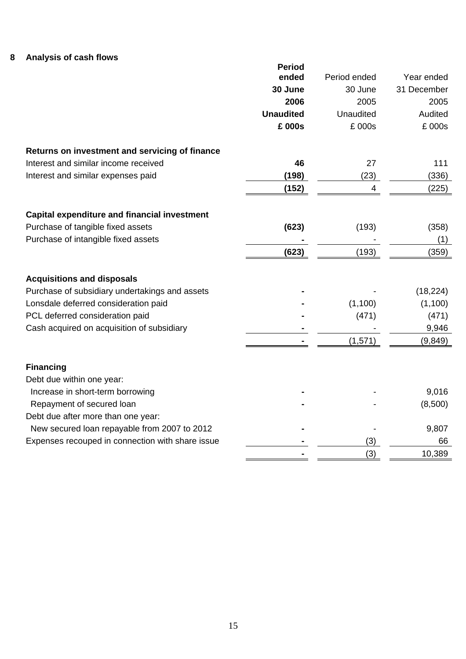# **8 Analysis of cash flows**

|                                                     | <b>Period</b>    |              |             |
|-----------------------------------------------------|------------------|--------------|-------------|
|                                                     | ended            | Period ended | Year ended  |
|                                                     | 30 June          | 30 June      | 31 December |
|                                                     | 2006             | 2005         | 2005        |
|                                                     | <b>Unaudited</b> | Unaudited    | Audited     |
|                                                     | £ 000s           | £ 000s       | £ 000s      |
| Returns on investment and servicing of finance      |                  |              |             |
| Interest and similar income received                | 46               | 27           | 111         |
| Interest and similar expenses paid                  | (198)            | (23)         | (336)       |
|                                                     | (152)            | 4            | (225)       |
| <b>Capital expenditure and financial investment</b> |                  |              |             |
| Purchase of tangible fixed assets                   | (623)            | (193)        | (358)       |
| Purchase of intangible fixed assets                 |                  |              | (1)         |
|                                                     | (623)            | (193)        | (359)       |
| <b>Acquisitions and disposals</b>                   |                  |              |             |
| Purchase of subsidiary undertakings and assets      |                  |              | (18, 224)   |
| Lonsdale deferred consideration paid                |                  | (1,100)      | (1,100)     |
| PCL deferred consideration paid                     |                  | (471)        | (471)       |
| Cash acquired on acquisition of subsidiary          |                  |              | 9,946       |
|                                                     |                  | (1,571)      | (9, 849)    |
| <b>Financing</b>                                    |                  |              |             |
| Debt due within one year:                           |                  |              |             |
| Increase in short-term borrowing                    |                  |              | 9,016       |
| Repayment of secured loan                           |                  |              | (8,500)     |
| Debt due after more than one year:                  |                  |              |             |
| New secured loan repayable from 2007 to 2012        |                  |              | 9,807       |
| Expenses recouped in connection with share issue    |                  | (3)          | 66          |
|                                                     |                  | (3)          | 10,389      |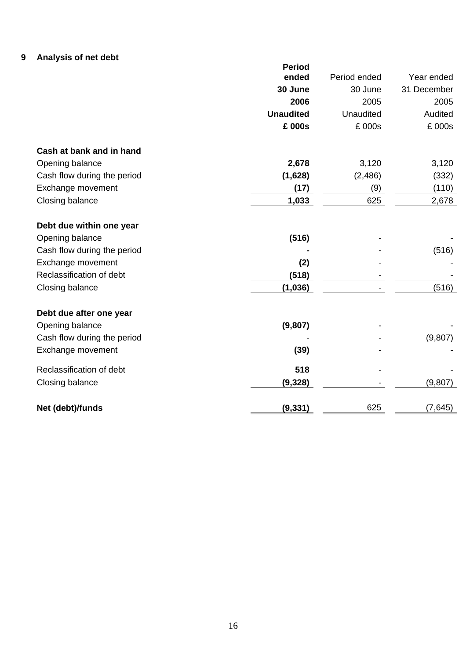# **9 Analysis of net debt**

|                             | <b>Period</b>    |                  |             |
|-----------------------------|------------------|------------------|-------------|
|                             | ended            | Period ended     | Year ended  |
|                             | 30 June          | 30 June          | 31 December |
|                             | 2006             | 2005             | 2005        |
|                             | <b>Unaudited</b> | <b>Unaudited</b> | Audited     |
|                             | £ 000s           | £ 000s           | £ 000s      |
| Cash at bank and in hand    |                  |                  |             |
| Opening balance             | 2,678            | 3,120            | 3,120       |
| Cash flow during the period | (1,628)          | (2, 486)         | (332)       |
| Exchange movement           | (17)             | (9)              | (110)       |
| Closing balance             | 1,033            | 625              | 2,678       |
| Debt due within one year    |                  |                  |             |
| Opening balance             | (516)            |                  |             |
| Cash flow during the period |                  |                  | (516)       |
| Exchange movement           | (2)              |                  |             |
| Reclassification of debt    | (518)            |                  |             |
| Closing balance             | (1,036)          |                  | (516)       |
| Debt due after one year     |                  |                  |             |
| Opening balance             | (9, 807)         |                  |             |
| Cash flow during the period |                  |                  | (9, 807)    |
| Exchange movement           | (39)             |                  |             |
| Reclassification of debt    | 518              |                  |             |
| Closing balance             | (9, 328)         |                  | (9,807)     |
| Net (debt)/funds            | (9, 331)         | 625              | (7, 645)    |
|                             |                  |                  |             |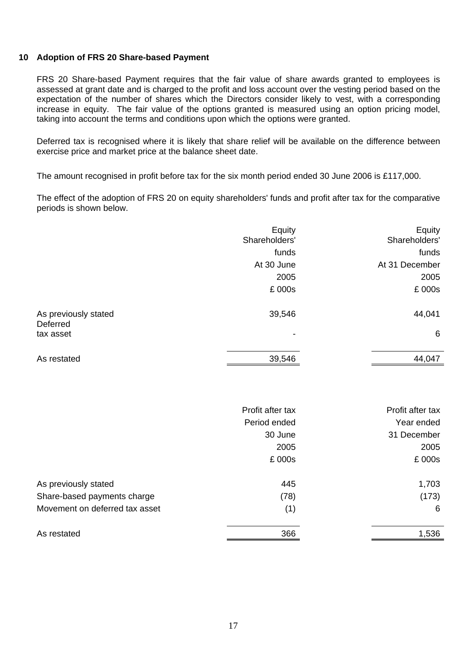## **10 Adoption of FRS 20 Share-based Payment**

FRS 20 Share-based Payment requires that the fair value of share awards granted to employees is assessed at grant date and is charged to the profit and loss account over the vesting period based on the expectation of the number of shares which the Directors consider likely to vest, with a corresponding increase in equity. The fair value of the options granted is measured using an option pricing model, taking into account the terms and conditions upon which the options were granted.

Deferred tax is recognised where it is likely that share relief will be available on the difference between exercise price and market price at the balance sheet date.

The amount recognised in profit before tax for the six month period ended 30 June 2006 is £117,000.

The effect of the adoption of FRS 20 on equity shareholders' funds and profit after tax for the comparative periods is shown below.

|                                  | Equity<br>Shareholders' | Equity<br>Shareholders' |
|----------------------------------|-------------------------|-------------------------|
|                                  | funds                   | funds                   |
|                                  | At 30 June              | At 31 December          |
|                                  | 2005                    | 2005                    |
|                                  | £ 000s                  | £ 000s                  |
| As previously stated<br>Deferred | 39,546                  | 44,041                  |
| tax asset                        | -                       | 6                       |
| As restated                      | 39,546                  | 44,047                  |
|                                  |                         |                         |

|                                | Profit after tax | Profit after tax |
|--------------------------------|------------------|------------------|
|                                | Period ended     | Year ended       |
|                                | 30 June          | 31 December      |
|                                | 2005             | 2005             |
|                                | £ 000s           | £ 000s           |
| As previously stated           | 445              | 1,703            |
| Share-based payments charge    | (78)             | (173)            |
| Movement on deferred tax asset | (1)              | 6                |
| As restated                    | 366              | 1,536            |
|                                |                  |                  |